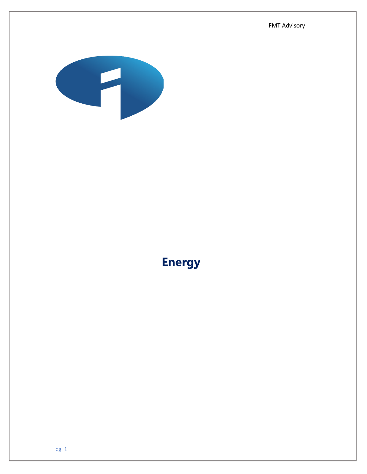FMT Advisory



# **Energy**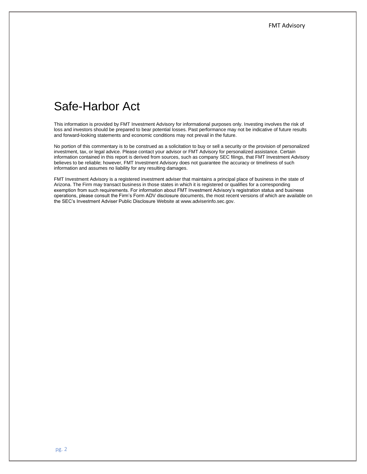## Safe-Harbor Act

This information is provided by FMT Investment Advisory for informational purposes only. Investing involves the risk of loss and investors should be prepared to bear potential losses. Past performance may not be indicative of future results and forward-looking statements and economic conditions may not prevail in the future.

No portion of this commentary is to be construed as a solicitation to buy or sell a security or the provision of personalized investment, tax, or legal advice. Please contact your advisor or FMT Advisory for personalized assistance. Certain information contained in this report is derived from sources, such as company SEC filings, that FMT Investment Advisory believes to be reliable; however, FMT Investment Advisory does not guarantee the accuracy or timeliness of such information and assumes no liability for any resulting damages.

FMT Investment Advisory is a registered investment adviser that maintains a principal place of business in the state of Arizona. The Firm may transact business in those states in which it is registered or qualifies for a corresponding exemption from such requirements. For information about FMT Investment Advisory's registration status and business operations, please consult the Firm's Form ADV disclosure documents, the most recent versions of which are available on the SEC's Investment Adviser Public Disclosure Website at www.adviserinfo.sec.gov.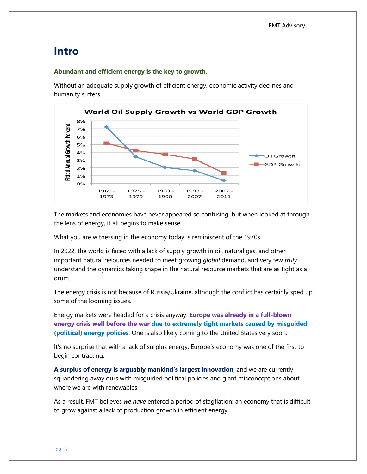## **Intro**

#### **Abundant and efficient energy is the key to growth.**

Without an adequate supply growth of efficient energy, economic activity declines and humanity suffers.



The markets and economies have never appeared so confusing, but when looked at through the lens of energy, it all begins to make sense.

What you are witnessing in the economy today is reminiscent of the 1970s.

In 2022, the world is faced with a lack of supply growth in oil, natural gas, and other important natural resources needed to meet growing *global* demand, and very few *truly* understand the dynamics taking shape in the natural resource markets that are as tight as a drum.

The energy crisis is not because of Russia/Ukraine, although the conflict has certainly sped up some of the looming issues.

Energy markets were headed for a crisis anyway. **Europe was already in a full-blown energy crisis well before the war due to extremely tight markets caused by misguided (political) energy policies**. One is also likely coming to the United States very soon.

It's no surprise that with a lack of surplus energy, Europe's economy was one of the first to begin contracting.

**A surplus of energy is arguably mankind's largest innovation**, and we are currently squandering away ours with misguided political policies and giant misconceptions about where we are with renewables.

As a result, FMT believes *we have* entered a period of stagflation: an economy that is difficult to grow against a lack of production growth in efficient energy.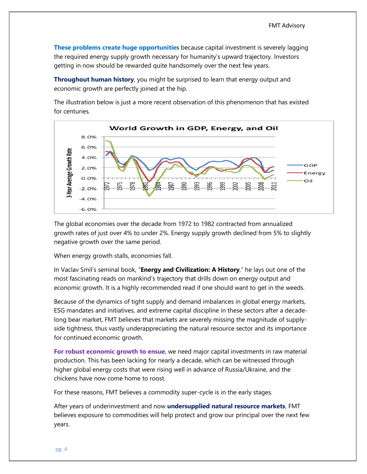**These problems create huge opportunities** because capital investment is severely lagging the required energy supply growth necessary for humanity's upward trajectory. Investors getting in now should be rewarded quite handsomely over the next few years.

**Throughout human history**, you might be surprised to learn that energy output and economic growth are perfectly joined at the hip.

The illustration below is just a more recent observation of this phenomenon that has existed for centuries.



The global economies over the decade from 1972 to 1982 contracted from annualized growth rates of just over 4% to under 2%. Energy supply growth declined from 5% to slightly negative growth over the same period.

When energy growth stalls, economies fall.

In Vaclav Smil's seminal book, "**Energy and Civilization: A History**," he lays out one of the most fascinating reads on mankind's trajectory that drills down on energy output and economic growth. It is a highly recommended read if one should want to get in the weeds.

Because of the dynamics of tight supply and demand imbalances in global energy markets, ESG mandates and initiatives, and extreme capital discipline in these sectors after a decadelong bear market, FMT believes that markets are severely missing the magnitude of supplyside tightness, thus vastly underappreciating the natural resource sector and its importance for continued economic growth.

**For robust economic growth to ensue**, we need major capital investments in raw material production. This has been lacking for nearly a decade, which can be witnessed through higher global energy costs that were rising well in advance of Russia/Ukraine, and the chickens have now come home to roost.

For these reasons, FMT believes a commodity super-cycle is in the early stages.

After years of underinvestment and now **undersupplied natural resource markets**, FMT believes exposure to commodities will help protect and grow our principal over the next few years.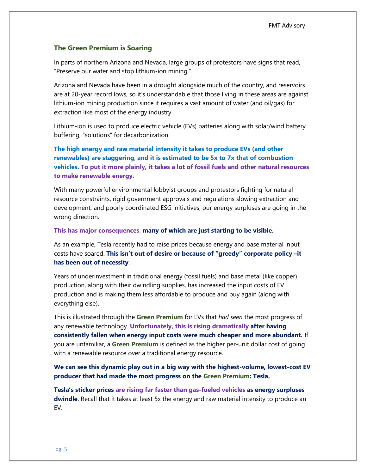#### **The Green Premium is Soaring**

In parts of northern Arizona and Nevada, large groups of protestors have signs that read, "Preserve our water and stop lithium-ion mining."

Arizona and Nevada have been in a drought alongside much of the country, and reservoirs are at 20-year record lows, so it's understandable that those living in these areas are against lithium-ion mining production since it requires a vast amount of water (and oil/gas) for extraction like most of the energy industry.

Lithium-ion is used to produce electric vehicle (EVs) batteries along with solar/wind battery buffering, "solutions" for decarbonization.

**The high energy and raw material intensity it takes to produce EVs (and other renewables) are staggering**, **and it is estimated to be 5x to 7x that of combustion vehicles. To put it more plainly, it takes a lot of fossil fuels and other natural resources to make renewable energy.**

With many powerful environmental lobbyist groups and protestors fighting for natural resource constraints, rigid government approvals and regulations slowing extraction and development, and poorly coordinated ESG initiatives, our energy surpluses are going in the wrong direction.

#### **This has major consequences**, **many of which are just starting to be visible.**

As an example, Tesla recently had to raise prices because energy and base material input costs have soared. **This isn't out of desire or because of "greedy" corporate policy –it has been out of necessity**.

Years of underinvestment in traditional energy (fossil fuels) and base metal (like copper) production, along with their dwindling supplies, has increased the input costs of EV production and is making them less affordable to produce and buy again (along with everything else).

This is illustrated through the **Green Premium** for EVs that *had seen* the most progress of any renewable technology. **Unfortunately, this is rising dramatically after having consistently fallen when energy input costs were much cheaper and more abundant.** If you are unfamiliar, a **Green Premium** is defined as the higher per-unit dollar cost of going with a renewable resource over a traditional energy resource.

**We can see this dynamic play out in a big way with the highest-volume, lowest-cost EV producer that had made the most progress on the Green Premium: Tesla.** 

**Tesla's sticker prices are rising far faster than gas-fueled vehicles as energy surpluses dwindle**. Recall that it takes at least 5x the energy and raw material intensity to produce an EV.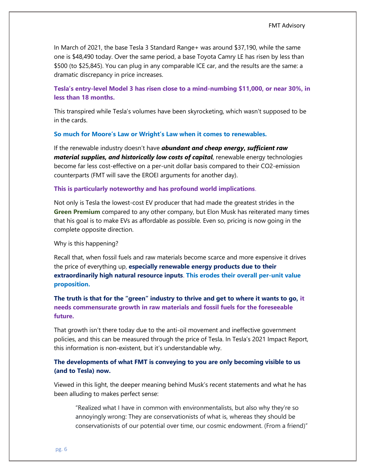In March of 2021, the base Tesla 3 Standard Range+ was around \$37,190, while the same one is \$48,490 today. Over the same period, a base Toyota Camry LE has risen by less than \$500 (to \$25,845). You can plug in any comparable ICE car, and the results are the same: a dramatic discrepancy in price increases.

## **Tesla's entry-level Model 3 has risen close to a mind-numbing \$11,000, or near 30%, in less than 18 months.**

This transpired while Tesla's volumes have been skyrocketing, which wasn't supposed to be in the cards.

#### **So much for Moore's Law or Wright's Law when it comes to renewables.**

If the renewable industry doesn't have *abundant and cheap energy***,** *sufficient raw material supplies, and historically low costs of capital*, renewable energy technologies become far less cost-effective on a per-unit dollar basis compared to their CO2-emission counterparts (FMT will save the EROEI arguments for another day).

#### **This is particularly noteworthy and has profound world implications**.

Not only is Tesla the lowest-cost EV producer that had made the greatest strides in the **Green Premium** compared to any other company, but Elon Musk has reiterated many times that his goal is to make EVs as affordable as possible. Even so, pricing is now going in the complete opposite direction.

#### Why is this happening?

Recall that, when fossil fuels and raw materials become scarce and more expensive it drives the price of everything up, **especially renewable energy products due to their extraordinarily high natural resource inputs**. **This erodes their overall per-unit value proposition.**

## **The truth is that for the "green" industry to thrive and get to where it wants to go, it needs commensurate growth in raw materials and fossil fuels for the foreseeable future.**

That growth isn't there today due to the anti-oil movement and ineffective government policies, and this can be measured through the price of Tesla. In Tesla's 2021 Impact Report, this information is non-existent, but it's understandable why.

## **The developments of what FMT is conveying to you are only becoming visible to us (and to Tesla) now.**

Viewed in this light, the deeper meaning behind Musk's recent statements and what he has been alluding to makes perfect sense:

"Realized what I have in common with environmentalists, but also why they're so annoyingly wrong: They are conservationists of what is, whereas they should be conservationists of our potential over time, our cosmic endowment. (From a friend)"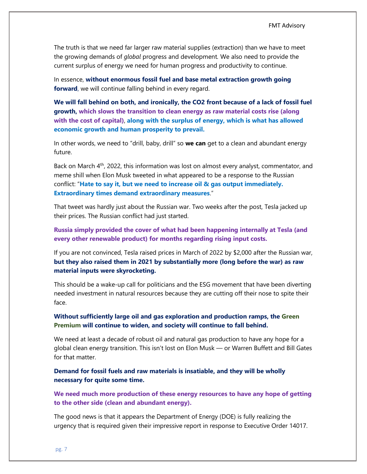The truth is that we need far larger raw material supplies (extraction) than we have to meet the growing demands of *global* progress and development*.* We also need to provide the current surplus of energy we need for human progress and productivity to continue.

In essence, **without enormous fossil fuel and base metal extraction growth going forward**, we will continue falling behind in every regard.

**We will fall behind on both, and ironically, the CO2 front because of a lack of fossil fuel growth, which slows the transition to clean energy as raw material costs rise (along with the cost of capital)**, **along with the surplus of energy, which is what has allowed economic growth and human prosperity to prevail.**

In other words, we need to "drill, baby, drill" so **we can** get to a clean and abundant energy future.

Back on March  $4<sup>th</sup>$ , 2022, this information was lost on almost every analyst, commentator, and meme shill when Elon Musk tweeted in what appeared to be a response to the Russian conflict: "**Hate to say it, but we need to increase oil & gas output immediately. Extraordinary times demand extraordinary measures**."

That tweet was hardly just about the Russian war. Two weeks after the post, Tesla jacked up their prices. The Russian conflict had just started.

**Russia simply provided the cover of what had been happening internally at Tesla (and every other renewable product) for months regarding rising input costs.** 

If you are not convinced, Tesla raised prices in March of 2022 by \$2,000 after the Russian war, **but they also raised them in 2021 by substantially more (long before the war) as raw material inputs were skyrocketing.**

This should be a wake-up call for politicians and the ESG movement that have been diverting needed investment in natural resources because they are cutting off their nose to spite their face.

**Without sufficiently large oil and gas exploration and production ramps, the Green Premium will continue to widen, and society will continue to fall behind.**

We need at least a decade of robust oil and natural gas production to have any hope for a global clean energy transition. This isn't lost on Elon Musk — or Warren Buffett and Bill Gates for that matter.

**Demand for fossil fuels and raw materials is insatiable, and they will be wholly necessary for quite some time.**

**We need much more production of these energy resources to have any hope of getting to the other side (clean and abundant energy).**

The good news is that it appears the Department of Energy (DOE) is fully realizing the urgency that is required given their impressive report in response to Executive Order 14017.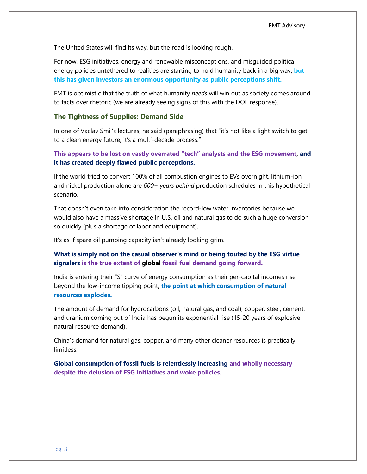The United States will find its way, but the road is looking rough.

For now, ESG initiatives, energy and renewable misconceptions, and misguided political energy policies untethered to realities are starting to hold humanity back in a big way, **but this has given investors an enormous opportunity as public perceptions shift.**

FMT is optimistic that the truth of what humanity *needs* will win out as society comes around to facts over rhetoric (we are already seeing signs of this with the DOE response).

#### **The Tightness of Supplies: Demand Side**

In one of Vaclav Smil's lectures, he said (paraphrasing) that "it's not like a light switch to get to a clean energy future, it's a multi-decade process."

**This appears to be lost on vastly overrated "tech" analysts and the ESG movement, and it has created deeply flawed public perceptions.** 

If the world tried to convert 100% of all combustion engines to EVs overnight, lithium-ion and nickel production alone are *600+ years behind* production schedules in this hypothetical scenario.

That doesn't even take into consideration the record-low water inventories because we would also have a massive shortage in U.S. oil and natural gas to do such a huge conversion so quickly (plus a shortage of labor and equipment).

It's as if spare oil pumping capacity isn't already looking grim.

## **What is simply not on the casual observer's mind or being touted by the ESG virtue signalers is the true extent of global fossil fuel demand going forward.**

India is entering their "S" curve of energy consumption as their per-capital incomes rise beyond the low-income tipping point, **the point at which consumption of natural resources explodes.**

The amount of demand for hydrocarbons (oil, natural gas, and coal), copper, steel, cement, and uranium coming out of India has begun its exponential rise (15-20 years of explosive natural resource demand).

China's demand for natural gas, copper, and many other cleaner resources is practically limitless.

**Global consumption of fossil fuels is relentlessly increasing and wholly necessary despite the delusion of ESG initiatives and woke policies.**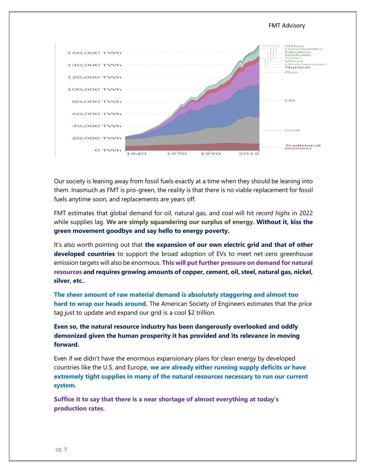

Our society is leaning away from fossil fuels exactly at a time when they should be leaning into them. Inasmuch as FMT is pro-green, the reality is that there is no viable replacement for fossil fuels anytime soon, and replacements are years off.

FMT estimates that global demand for oil, natural gas, and coal will hit *record highs* in 2022 while supplies lag. **We are simply squandering our surplus of energy. Without it, kiss the green movement goodbye and say hello to energy poverty.** 

It's also worth pointing out that **the expansion of our own electric grid and that of other developed countries** to support the broad adoption of EVs to meet net-zero greenhouse emission targets will also be enormous. **This will put further pressure on demand for natural resources and requires growing amounts of copper, cement, oil, steel, natural gas, nickel, silver, etc.**.

**The sheer amount of raw material demand is absolutely staggering and almost too hard to wrap our heads around.** The American Society of Engineers estimates that the price tag just to update and expand our grid is a cool \$2 trillion.

**Even so, the natural resource industry has been dangerously overlooked and oddly demonized given the human prosperity it has provided and its relevance in moving forward.**

Even if we didn't have the enormous expansionary plans for clean energy by developed countries like the U.S. and Europe**, we are already either running supply deficits or have extremely tight supplies in many of the natural resources necessary to run our current system.**

**Suffice it to say that there is a near shortage of almost everything at today's production rates.**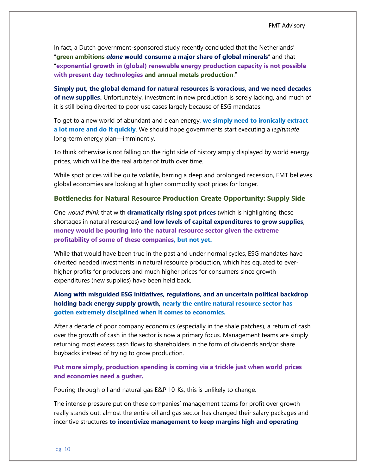In fact, a Dutch government-sponsored study recently concluded that the Netherlands' "**green ambitions** *alone* **would consume a major share of global minerals**" and that "**exponential growth in (global) renewable energy production capacity is not possible with present day technologies and annual metals production**."

**Simply put, the global demand for natural resources is voracious, and we need decades of new supplies.** Unfortunately, investment in new production is sorely lacking, and much of it is still being diverted to poor use cases largely because of ESG mandates.

To get to a new world of abundant and clean energy, **we simply need to ironically extract a lot more and do it quickly**. We should hope governments start executing a *legitimate* long-term energy plan—imminently.

To think otherwise is not falling on the right side of history amply displayed by world energy prices, which will be the real arbiter of truth over time.

While spot prices will be quite volatile, barring a deep and prolonged recession, FMT believes global economies are looking at higher commodity spot prices for longer.

#### **Bottlenecks for Natural Resource Production Create Opportunity: Supply Side**

One *would think* that with **dramatically rising spot prices** (which is highlighting these shortages in natural resources) **and low levels of capital expenditures to grow supplies**, **money would be pouring into the natural resource sector given the extreme profitability of some of these companies, but not yet.**

While that would have been true in the past and under normal cycles, ESG mandates have diverted needed investments in natural resource production, which has equated to everhigher profits for producers and much higher prices for consumers since growth expenditures (new supplies) have been held back.

## **Along with misguided ESG initiatives, regulations, and an uncertain political backdrop holding back energy supply growth, nearly the entire natural resource sector has gotten extremely disciplined when it comes to economics.**

After a decade of poor company economics (especially in the shale patches), a return of cash over the growth of cash in the sector is now a primary focus. Management teams are simply returning most excess cash flows to shareholders in the form of dividends and/or share buybacks instead of trying to grow production.

## **Put more simply, production spending is coming via a trickle just when world prices and economies need a gusher.**

Pouring through oil and natural gas E&P 10-Ks, this is unlikely to change.

The intense pressure put on these companies' management teams for profit over growth really stands out: almost the entire oil and gas sector has changed their salary packages and incentive structures **to incentivize management to keep margins high and operating**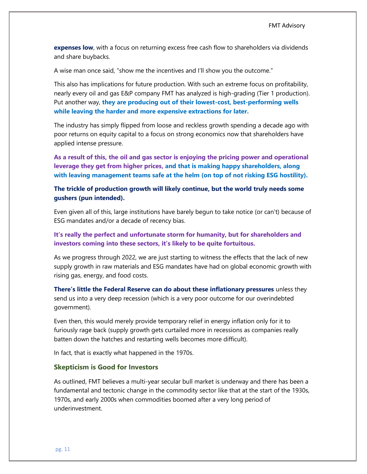**expenses low**, with a focus on returning excess free cash flow to shareholders via dividends and share buybacks.

A wise man once said, "show me the incentives and I'll show you the outcome."

This also has implications for future production. With such an extreme focus on profitability, nearly every oil and gas E&P company FMT has analyzed is high-grading (Tier 1 production). Put another way, **they are producing out of their lowest-cost, best-performing wells while leaving the harder and more expensive extractions for later.**

The industry has simply flipped from loose and reckless growth spending a decade ago with poor returns on equity capital to a focus on strong economics now that shareholders have applied intense pressure.

**As a result of this, the oil and gas sector is enjoying the pricing power and operational leverage they get from higher prices, and that is making happy shareholders, along with leaving management teams safe at the helm (on top of not risking ESG hostility).**

**The trickle of production growth will likely continue, but the world truly needs some gushers (pun intended).**

Even given all of this, large institutions have barely begun to take notice (or can't) because of ESG mandates and/or a decade of recency bias.

**It's really the perfect and unfortunate storm for humanity, but for shareholders and investors coming into these sectors, it's likely to be quite fortuitous.**

As we progress through 2022, we are just starting to witness the effects that the lack of new supply growth in raw materials and ESG mandates have had on global economic growth with rising gas, energy, and food costs.

**There's little the Federal Reserve can do about these inflationary pressures** unless they send us into a very deep recession (which is a very poor outcome for our overindebted government).

Even then, this would merely provide temporary relief in energy inflation only for it to furiously rage back (supply growth gets curtailed more in recessions as companies really batten down the hatches and restarting wells becomes more difficult).

In fact, that is exactly what happened in the 1970s.

#### **Skepticism is Good for Investors**

As outlined, FMT believes a multi-year secular bull market is underway and there has been a fundamental and tectonic change in the commodity sector like that at the start of the 1930s, 1970s, and early 2000s when commodities boomed after a very long period of underinvestment.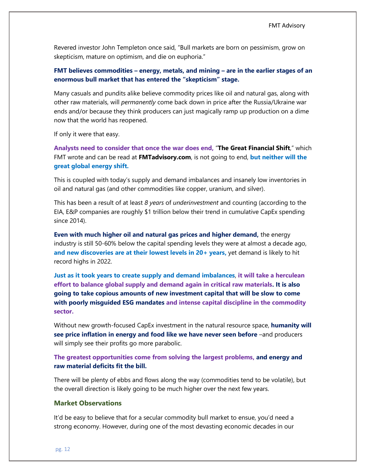Revered investor John Templeton once said, "Bull markets are born on pessimism, grow on skepticism, mature on optimism, and die on euphoria."

## **FMT believes commodities – energy, metals, and mining – are in the earlier stages of an enormous bull market that has entered the "skepticism" stage.**

Many casuals and pundits alike believe commodity prices like oil and natural gas, along with other raw materials, will *permanently* come back down in price after the Russia/Ukraine war ends and/or because they think producers can just magically ramp up production on a dime now that the world has reopened.

If only it were that easy.

**Analysts need to consider that once the war does end,** "**The Great Financial Shift**," which FMT wrote and can be read at **FMTadvisory.com**, is not going to end, **but neither will the great global energy shift.**

This is coupled with today's supply and demand imbalances and insanely low inventories in oil and natural gas (and other commodities like copper, uranium, and silver).

This has been a result of at least *8 years* of *underinvestment* and counting (according to the EIA, E&P companies are roughly \$1 trillion below their trend in cumulative CapEx spending since 2014).

**Even with much higher oil and natural gas prices and higher demand,** the energy industry is still 50-60% below the capital spending levels they were at almost a decade ago, **and new discoveries are at their lowest levels in 20+ years,** yet demand is likely to hit record highs in 2022.

**Just as it took years to create supply and demand imbalances**, **it will take a herculean effort to balance global supply and demand again in critical raw materials. It is also going to take copious amounts of new investment capital that will be slow to come with poorly misguided ESG mandates and intense capital discipline in the commodity sector.**

Without new growth-focused CapEx investment in the natural resource space, **humanity will see price inflation in energy and food like we have never seen before** –and producers will simply see their profits go more parabolic.

## **The greatest opportunities come from solving the largest problems, and energy and raw material deficits fit the bill.**

There will be plenty of ebbs and flows along the way (commodities tend to be volatile), but the overall direction is likely going to be much higher over the next few years.

### **Market Observations**

It'd be easy to believe that for a secular commodity bull market to ensue, you'd need a strong economy. However, during one of the most devasting economic decades in our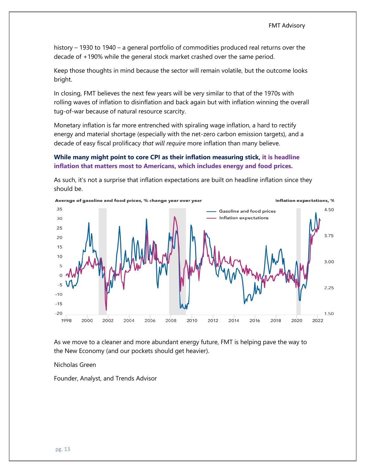history – 1930 to 1940 – a general portfolio of commodities produced real returns over the decade of +190% while the general stock market crashed over the same period.

Keep those thoughts in mind because the sector will remain volatile, but the outcome looks bright.

In closing, FMT believes the next few years will be very similar to that of the 1970s with rolling waves of inflation to disinflation and back again but with inflation winning the overall tug-of-war because of natural resource scarcity.

Monetary inflation is far more entrenched with spiraling wage inflation, a hard to rectify energy and material shortage (especially with the net-zero carbon emission targets), and a decade of easy fiscal prolificacy *that will require* more inflation than many believe.

## **While many might point to core CPI as their inflation measuring stick, it is headline inflation that matters most to Americans, which includes energy and food prices.**



As such, it's not a surprise that inflation expectations are built on headline inflation since they should be.

As we move to a cleaner and more abundant energy future, FMT is helping pave the way to the New Economy (and our pockets should get heavier).

Nicholas Green

Founder, Analyst, and Trends Advisor